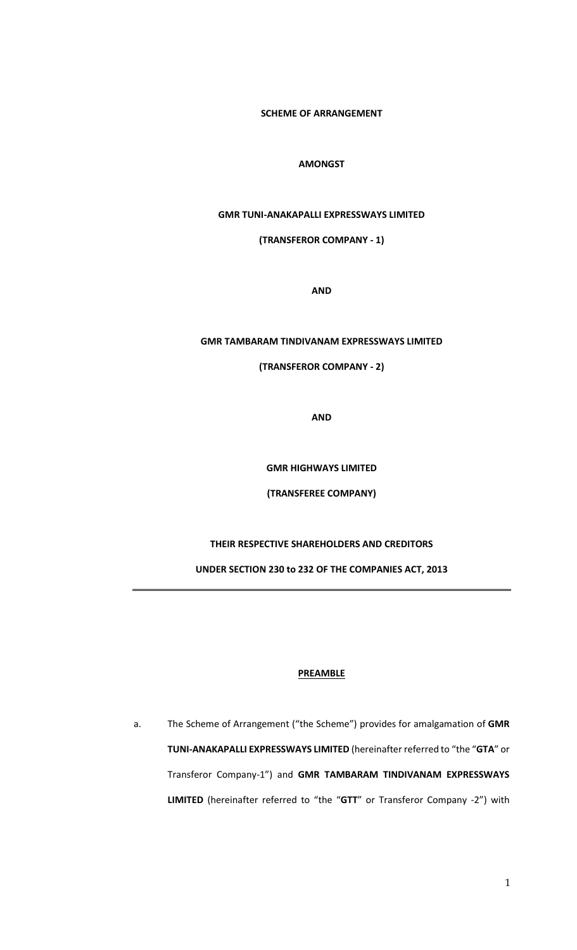**SCHEME OF ARRANGEMENT** 

### **AMONGST**

# **GMR TUNI-ANAKAPALLI EXPRESSWAYS LIMITED**

# **(TRANSFEROR COMPANY - 1)**

**AND**

#### **GMR TAMBARAM TINDIVANAM EXPRESSWAYS LIMITED**

# **(TRANSFEROR COMPANY - 2)**

**AND**

**GMR HIGHWAYS LIMITED**

**(TRANSFEREE COMPANY)**

# **THEIR RESPECTIVE SHAREHOLDERS AND CREDITORS**

**UNDER SECTION 230 to 232 OF THE COMPANIES ACT, 2013**

#### **PREAMBLE**

a. The Scheme of Arrangement ("the Scheme") provides for amalgamation of **GMR TUNI-ANAKAPALLI EXPRESSWAYS LIMITED** (hereinafter referred to "the "**GTA**" or Transferor Company-1") and **GMR TAMBARAM TINDIVANAM EXPRESSWAYS LIMITED** (hereinafter referred to "the "**GTT**" or Transferor Company -2") with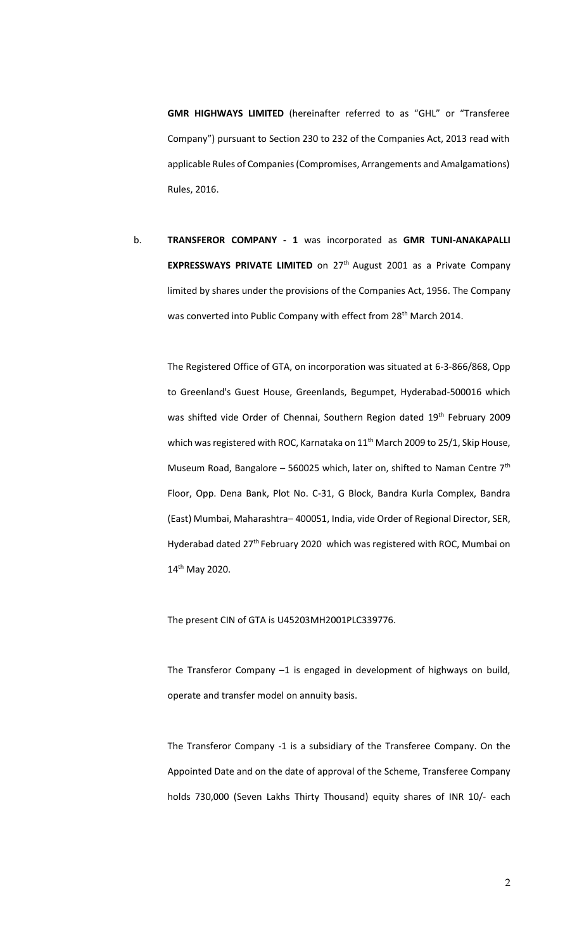**GMR HIGHWAYS LIMITED** (hereinafter referred to as "GHL" or "Transferee Company") pursuant to Section 230 to 232 of the Companies Act, 2013 read with applicable Rules of Companies (Compromises, Arrangements and Amalgamations) Rules, 2016.

b. **TRANSFEROR COMPANY - 1** was incorporated as **GMR TUNI-ANAKAPALLI EXPRESSWAYS PRIVATE LIMITED** on 27<sup>th</sup> August 2001 as a Private Company limited by shares under the provisions of the Companies Act, 1956. The Company was converted into Public Company with effect from 28<sup>th</sup> March 2014.

The Registered Office of GTA, on incorporation was situated at 6-3-866/868, Opp to Greenland's Guest House, Greenlands, Begumpet, Hyderabad-500016 which was shifted vide Order of Chennai, Southern Region dated 19<sup>th</sup> February 2009 which was registered with ROC, Karnataka on 11<sup>th</sup> March 2009 to 25/1, Skip House, Museum Road, Bangalore – 560025 which, later on, shifted to Naman Centre  $7<sup>th</sup>$ Floor, Opp. Dena Bank, Plot No. C-31, G Block, Bandra Kurla Complex, Bandra (East) Mumbai, Maharashtra– 400051, India, vide Order of Regional Director, SER, Hyderabad dated 27<sup>th</sup> February 2020 which was registered with ROC, Mumbai on 14th May 2020.

The present CIN of GTA is U45203MH2001PLC339776.

The Transferor Company –1 is engaged in development of highways on build, operate and transfer model on annuity basis.

The Transferor Company -1 is a subsidiary of the Transferee Company. On the Appointed Date and on the date of approval of the Scheme, Transferee Company holds 730,000 (Seven Lakhs Thirty Thousand) equity shares of INR 10/- each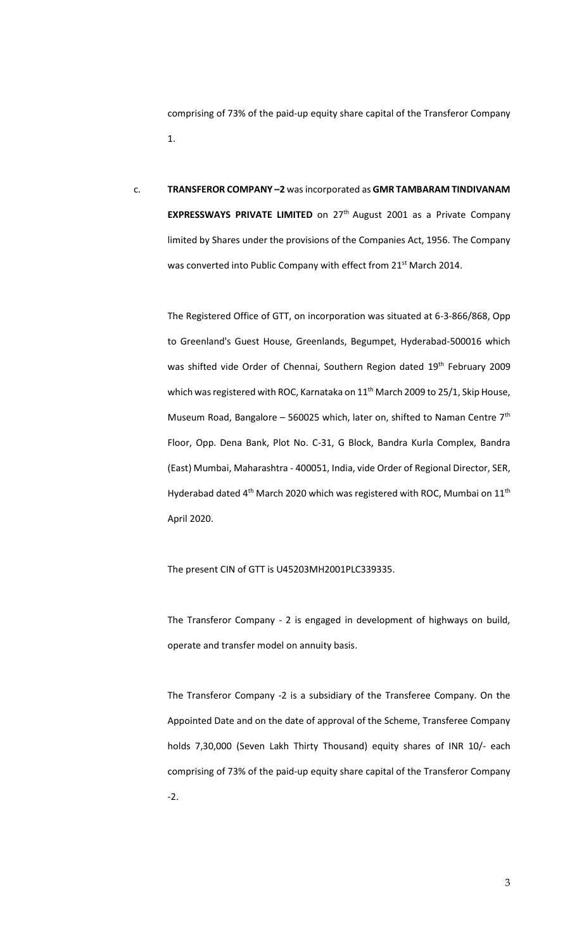comprising of 73% of the paid-up equity share capital of the Transferor Company 1.

c. **TRANSFEROR COMPANY –2** was incorporated as **GMR TAMBARAM TINDIVANAM EXPRESSWAYS PRIVATE LIMITED** on 27<sup>th</sup> August 2001 as a Private Company limited by Shares under the provisions of the Companies Act, 1956. The Company was converted into Public Company with effect from 21<sup>st</sup> March 2014.

The Registered Office of GTT, on incorporation was situated at 6-3-866/868, Opp to Greenland's Guest House, Greenlands, Begumpet, Hyderabad-500016 which was shifted vide Order of Chennai, Southern Region dated 19<sup>th</sup> February 2009 which was registered with ROC, Karnataka on 11<sup>th</sup> March 2009 to 25/1, Skip House, Museum Road, Bangalore - 560025 which, later on, shifted to Naman Centre  $7<sup>th</sup>$ Floor, Opp. Dena Bank, Plot No. C-31, G Block, Bandra Kurla Complex, Bandra (East) Mumbai, Maharashtra - 400051, India, vide Order of Regional Director, SER, Hyderabad dated  $4<sup>th</sup>$  March 2020 which was registered with ROC, Mumbai on  $11<sup>th</sup>$ April 2020.

The present CIN of GTT is U45203MH2001PLC339335.

The Transferor Company - 2 is engaged in development of highways on build, operate and transfer model on annuity basis.

The Transferor Company -2 is a subsidiary of the Transferee Company. On the Appointed Date and on the date of approval of the Scheme, Transferee Company holds 7,30,000 (Seven Lakh Thirty Thousand) equity shares of INR 10/- each comprising of 73% of the paid-up equity share capital of the Transferor Company -2.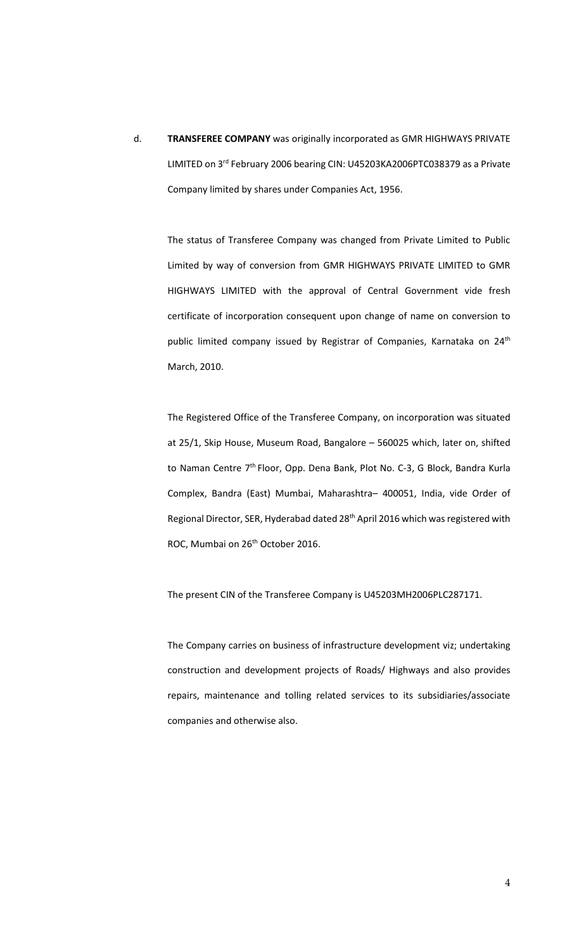d. **TRANSFEREE COMPANY** was originally incorporated as GMR HIGHWAYS PRIVATE LIMITED on 3rd February 2006 bearing CIN: U45203KA2006PTC038379 as a Private Company limited by shares under Companies Act, 1956.

The status of Transferee Company was changed from Private Limited to Public Limited by way of conversion from GMR HIGHWAYS PRIVATE LIMITED to GMR HIGHWAYS LIMITED with the approval of Central Government vide fresh certificate of incorporation consequent upon change of name on conversion to public limited company issued by Registrar of Companies, Karnataka on 24<sup>th</sup> March, 2010.

The Registered Office of the Transferee Company, on incorporation was situated at 25/1, Skip House, Museum Road, Bangalore – 560025 which, later on, shifted to Naman Centre 7<sup>th</sup> Floor, Opp. Dena Bank, Plot No. C-3, G Block, Bandra Kurla Complex, Bandra (East) Mumbai, Maharashtra– 400051, India, vide Order of Regional Director, SER, Hyderabad dated 28th April 2016 which was registered with ROC, Mumbai on 26<sup>th</sup> October 2016.

The present CIN of the Transferee Company is U45203MH2006PLC287171.

The Company carries on business of infrastructure development viz; undertaking construction and development projects of Roads/ Highways and also provides repairs, maintenance and tolling related services to its subsidiaries/associate companies and otherwise also.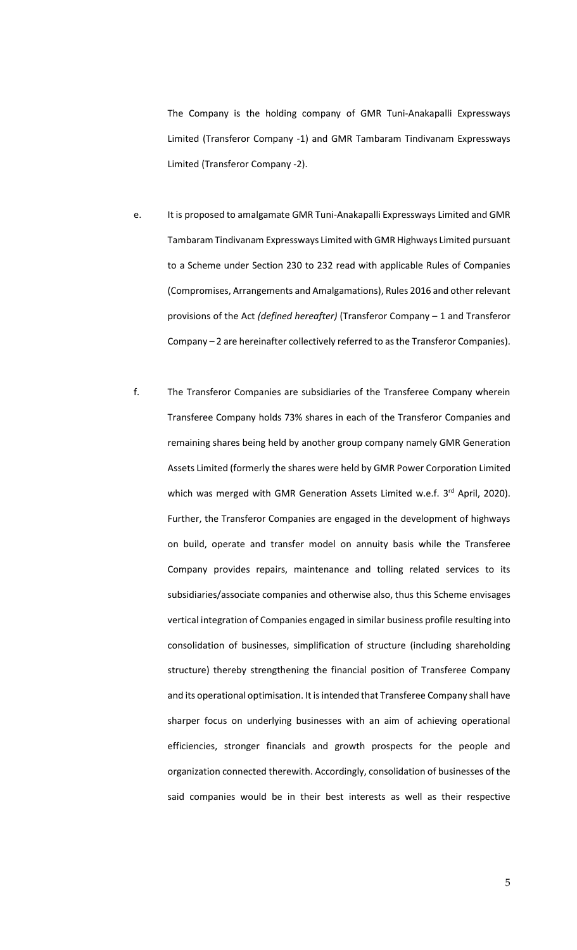The Company is the holding company of GMR Tuni-Anakapalli Expressways Limited (Transferor Company -1) and GMR Tambaram Tindivanam Expressways Limited (Transferor Company -2).

- e. It is proposed to amalgamate GMR Tuni-Anakapalli Expressways Limited and GMR Tambaram Tindivanam Expressways Limited with GMR Highways Limited pursuant to a Scheme under Section 230 to 232 read with applicable Rules of Companies (Compromises, Arrangements and Amalgamations), Rules 2016 and other relevant provisions of the Act *(defined hereafter)* (Transferor Company – 1 and Transferor Company – 2 are hereinafter collectively referred to as the Transferor Companies).
- f. The Transferor Companies are subsidiaries of the Transferee Company wherein Transferee Company holds 73% shares in each of the Transferor Companies and remaining shares being held by another group company namely GMR Generation Assets Limited (formerly the shares were held by GMR Power Corporation Limited which was merged with GMR Generation Assets Limited w.e.f. 3<sup>rd</sup> April, 2020). Further, the Transferor Companies are engaged in the development of highways on build, operate and transfer model on annuity basis while the Transferee Company provides repairs, maintenance and tolling related services to its subsidiaries/associate companies and otherwise also, thus this Scheme envisages vertical integration of Companies engaged in similar business profile resulting into consolidation of businesses, simplification of structure (including shareholding structure) thereby strengthening the financial position of Transferee Company and its operational optimisation. It is intended that Transferee Company shall have sharper focus on underlying businesses with an aim of achieving operational efficiencies, stronger financials and growth prospects for the people and organization connected therewith. Accordingly, consolidation of businesses of the said companies would be in their best interests as well as their respective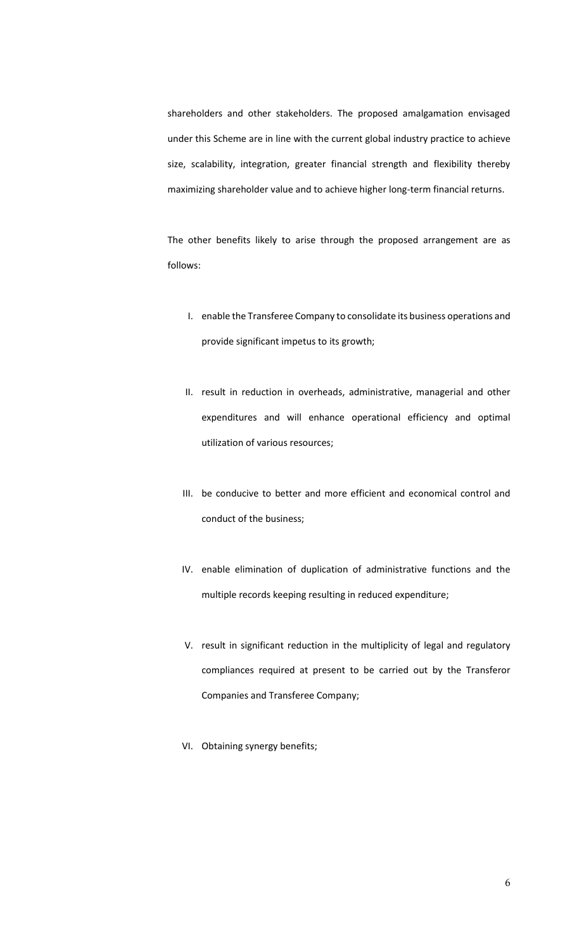shareholders and other stakeholders. The proposed amalgamation envisaged under this Scheme are in line with the current global industry practice to achieve size, scalability, integration, greater financial strength and flexibility thereby maximizing shareholder value and to achieve higher long-term financial returns.

The other benefits likely to arise through the proposed arrangement are as follows:

- I. enable the Transferee Company to consolidate its business operations and provide significant impetus to its growth;
- II. result in reduction in overheads, administrative, managerial and other expenditures and will enhance operational efficiency and optimal utilization of various resources;
- III. be conducive to better and more efficient and economical control and conduct of the business;
- IV. enable elimination of duplication of administrative functions and the multiple records keeping resulting in reduced expenditure;
- V. result in significant reduction in the multiplicity of legal and regulatory compliances required at present to be carried out by the Transferor Companies and Transferee Company;
- VI. Obtaining synergy benefits;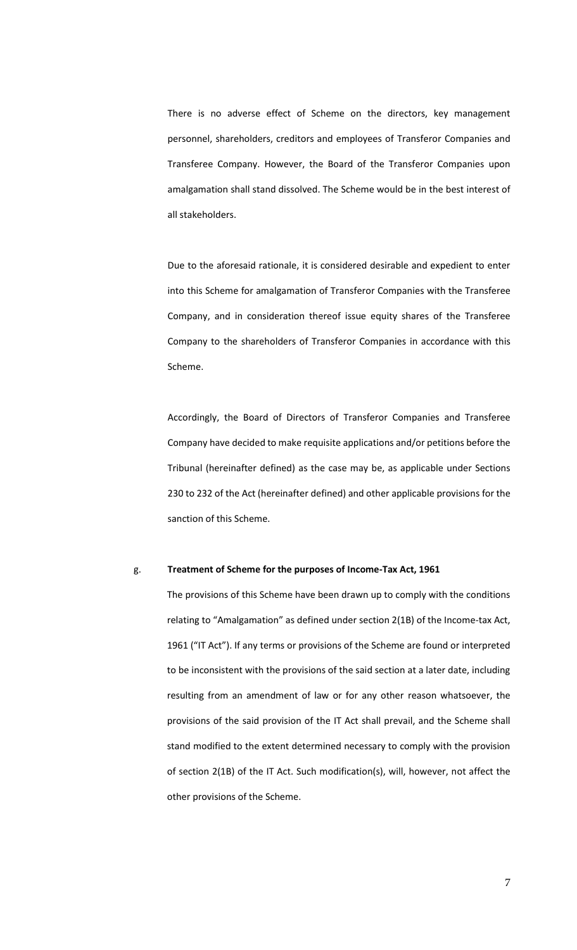There is no adverse effect of Scheme on the directors, key management personnel, shareholders, creditors and employees of Transferor Companies and Transferee Company. However, the Board of the Transferor Companies upon amalgamation shall stand dissolved. The Scheme would be in the best interest of all stakeholders.

Due to the aforesaid rationale, it is considered desirable and expedient to enter into this Scheme for amalgamation of Transferor Companies with the Transferee Company, and in consideration thereof issue equity shares of the Transferee Company to the shareholders of Transferor Companies in accordance with this Scheme.

Accordingly, the Board of Directors of Transferor Companies and Transferee Company have decided to make requisite applications and/or petitions before the Tribunal (hereinafter defined) as the case may be, as applicable under Sections 230 to 232 of the Act (hereinafter defined) and other applicable provisions for the sanction of this Scheme.

#### g. **Treatment of Scheme for the purposes of Income-Tax Act, 1961**

The provisions of this Scheme have been drawn up to comply with the conditions relating to "Amalgamation" as defined under section 2(1B) of the Income-tax Act, 1961 ("IT Act"). If any terms or provisions of the Scheme are found or interpreted to be inconsistent with the provisions of the said section at a later date, including resulting from an amendment of law or for any other reason whatsoever, the provisions of the said provision of the IT Act shall prevail, and the Scheme shall stand modified to the extent determined necessary to comply with the provision of section 2(1B) of the IT Act. Such modification(s), will, however, not affect the other provisions of the Scheme.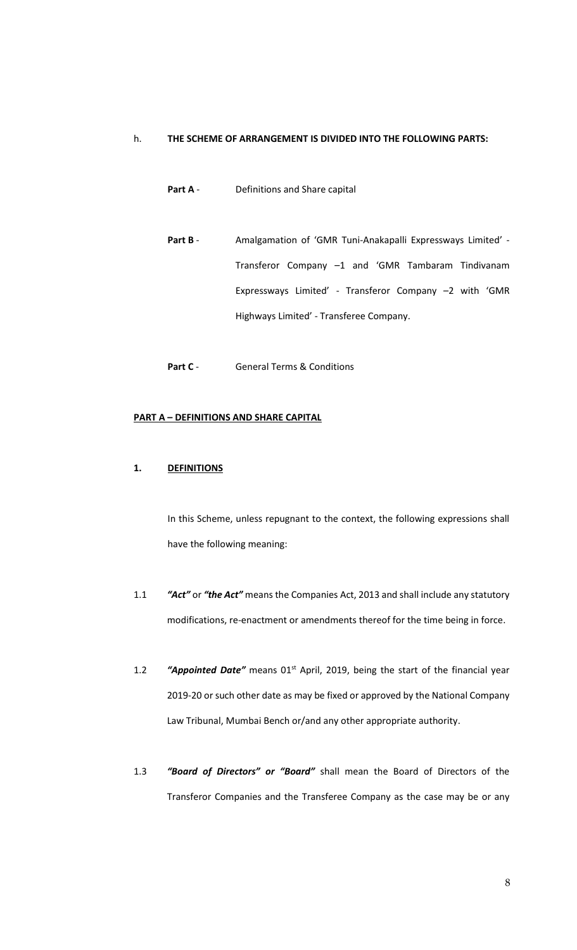# h. **THE SCHEME OF ARRANGEMENT IS DIVIDED INTO THE FOLLOWING PARTS:**

- **Part A** Definitions and Share capital
- Part B Amalgamation of 'GMR Tuni-Anakapalli Expressways Limited' -Transferor Company –1 and 'GMR Tambaram Tindivanam Expressways Limited' - Transferor Company –2 with 'GMR Highways Limited' - Transferee Company.
- Part C General Terms & Conditions

#### **PART A – DEFINITIONS AND SHARE CAPITAL**

#### **1. DEFINITIONS**

In this Scheme, unless repugnant to the context, the following expressions shall have the following meaning:

- 1.1 *"Act"* or *"the Act"* meansthe Companies Act, 2013 and shall include any statutory modifications, re-enactment or amendments thereof for the time being in force.
- 1.2 **"Appointed Date"** means 01<sup>st</sup> April, 2019, being the start of the financial year 2019-20 or such other date as may be fixed or approved by the National Company Law Tribunal, Mumbai Bench or/and any other appropriate authority.
- 1.3 *"Board of Directors" or "Board"* shall mean the Board of Directors of the Transferor Companies and the Transferee Company as the case may be or any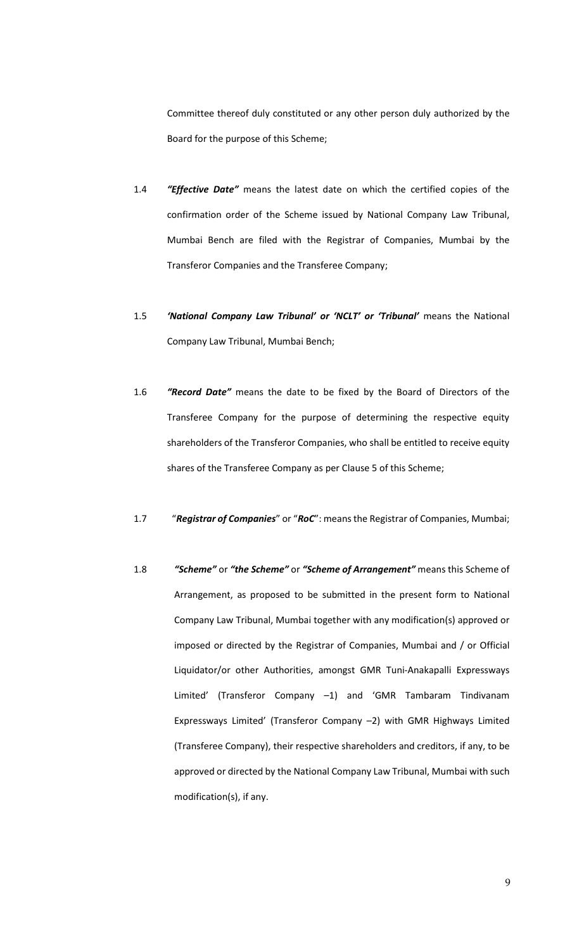Committee thereof duly constituted or any other person duly authorized by the Board for the purpose of this Scheme;

- 1.4 *"Effective Date"* means the latest date on which the certified copies of the confirmation order of the Scheme issued by National Company Law Tribunal, Mumbai Bench are filed with the Registrar of Companies, Mumbai by the Transferor Companies and the Transferee Company;
- 1.5 *'National Company Law Tribunal' or 'NCLT' or 'Tribunal'* means the National Company Law Tribunal, Mumbai Bench;
- 1.6 *"Record Date"* means the date to be fixed by the Board of Directors of the Transferee Company for the purpose of determining the respective equity shareholders of the Transferor Companies, who shall be entitled to receive equity shares of the Transferee Company as per Clause 5 of this Scheme;
- 1.7 "*Registrar of Companies*" or "*RoC*": means the Registrar of Companies, Mumbai;
- 1.8 *"Scheme"* or *"the Scheme"* or *"Scheme of Arrangement"* means this Scheme of Arrangement, as proposed to be submitted in the present form to National Company Law Tribunal, Mumbai together with any modification(s) approved or imposed or directed by the Registrar of Companies, Mumbai and / or Official Liquidator/or other Authorities, amongst GMR Tuni-Anakapalli Expressways Limited' (Transferor Company –1) and 'GMR Tambaram Tindivanam Expressways Limited' (Transferor Company –2) with GMR Highways Limited (Transferee Company), their respective shareholders and creditors, if any, to be approved or directed by the National Company Law Tribunal, Mumbai with such modification(s), if any.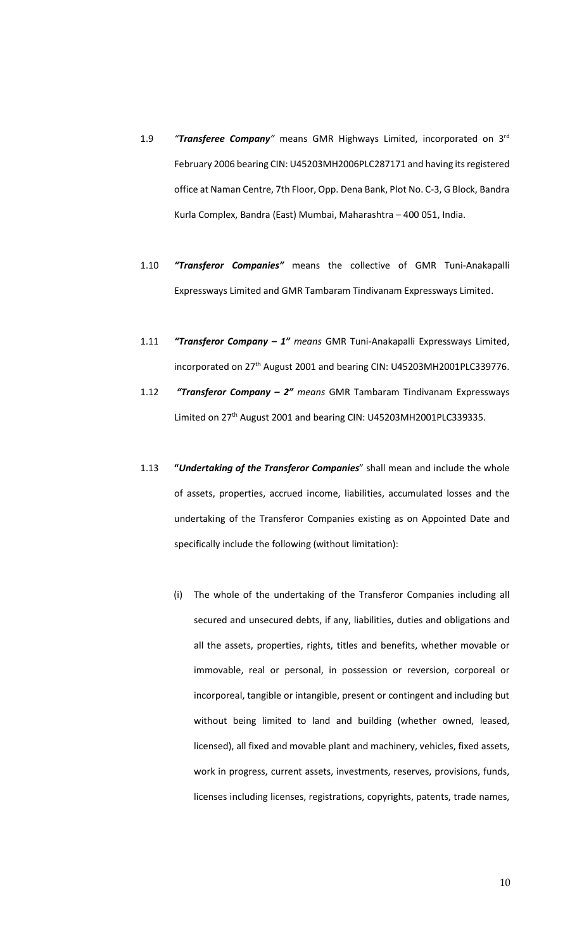- 1.9 *"Transferee Company"* means GMR Highways Limited, incorporated on 3 rd February 2006 bearing CIN: U45203MH2006PLC287171 and having its registered office at Naman Centre, 7th Floor, Opp. Dena Bank, Plot No. C-3, G Block, Bandra Kurla Complex, Bandra (East) Mumbai, Maharashtra – 400 051, India.
- 1.10 *"Transferor Companies"* means the collective of GMR Tuni-Anakapalli Expressways Limited and GMR Tambaram Tindivanam Expressways Limited.
- 1.11 *"Transferor Company – 1" means* GMR Tuni-Anakapalli Expressways Limited, incorporated on 27<sup>th</sup> August 2001 and bearing CIN: U45203MH2001PLC339776.
- 1.12 *"Transferor Company – 2" means* GMR Tambaram Tindivanam Expressways Limited on 27<sup>th</sup> August 2001 and bearing CIN: U45203MH2001PLC339335.
- 1.13 **"***Undertaking of the Transferor Companies*" shall mean and include the whole of assets, properties, accrued income, liabilities, accumulated losses and the undertaking of the Transferor Companies existing as on Appointed Date and specifically include the following (without limitation):
	- (i) The whole of the undertaking of the Transferor Companies including all secured and unsecured debts, if any, liabilities, duties and obligations and all the assets, properties, rights, titles and benefits, whether movable or immovable, real or personal, in possession or reversion, corporeal or incorporeal, tangible or intangible, present or contingent and including but without being limited to land and building (whether owned, leased, licensed), all fixed and movable plant and machinery, vehicles, fixed assets, work in progress, current assets, investments, reserves, provisions, funds, licenses including licenses, registrations, copyrights, patents, trade names,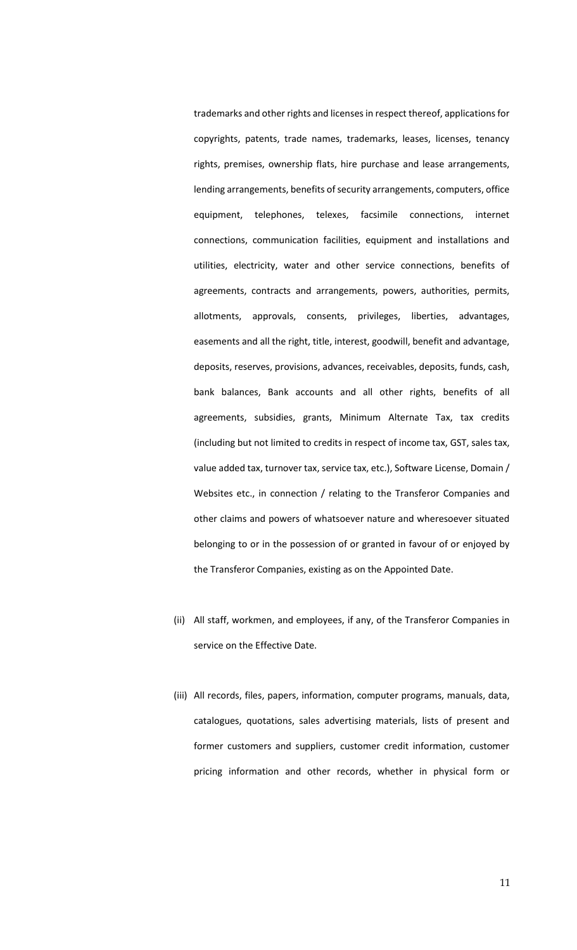trademarks and other rights and licenses in respect thereof, applications for copyrights, patents, trade names, trademarks, leases, licenses, tenancy rights, premises, ownership flats, hire purchase and lease arrangements, lending arrangements, benefits of security arrangements, computers, office equipment, telephones, telexes, facsimile connections, internet connections, communication facilities, equipment and installations and utilities, electricity, water and other service connections, benefits of agreements, contracts and arrangements, powers, authorities, permits, allotments, approvals, consents, privileges, liberties, advantages, easements and all the right, title, interest, goodwill, benefit and advantage, deposits, reserves, provisions, advances, receivables, deposits, funds, cash, bank balances, Bank accounts and all other rights, benefits of all agreements, subsidies, grants, Minimum Alternate Tax, tax credits (including but not limited to credits in respect of income tax, GST, sales tax, value added tax, turnover tax, service tax, etc.), Software License, Domain / Websites etc., in connection / relating to the Transferor Companies and other claims and powers of whatsoever nature and wheresoever situated belonging to or in the possession of or granted in favour of or enjoyed by the Transferor Companies, existing as on the Appointed Date.

- (ii) All staff, workmen, and employees, if any, of the Transferor Companies in service on the Effective Date.
- (iii) All records, files, papers, information, computer programs, manuals, data, catalogues, quotations, sales advertising materials, lists of present and former customers and suppliers, customer credit information, customer pricing information and other records, whether in physical form or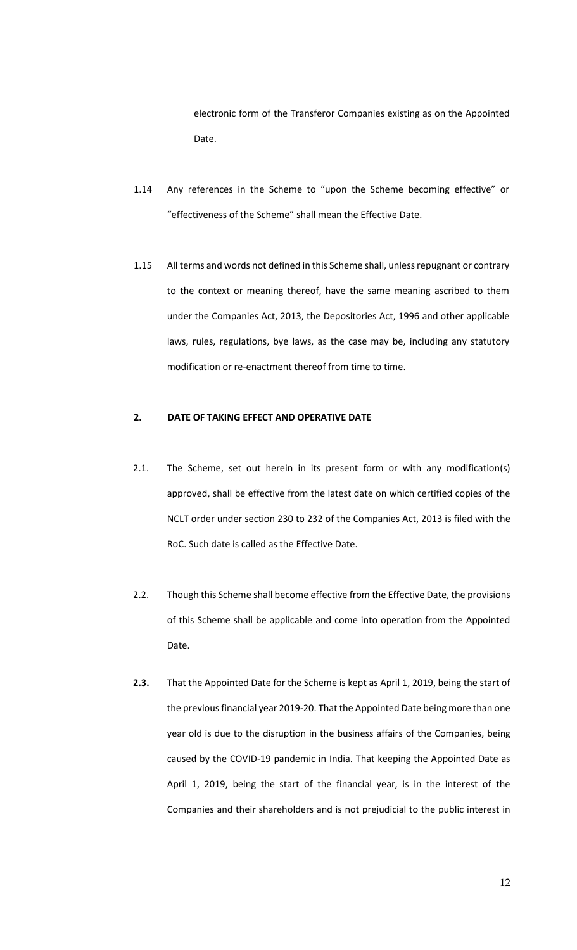electronic form of the Transferor Companies existing as on the Appointed Date.

- 1.14 Any references in the Scheme to "upon the Scheme becoming effective" or "effectiveness of the Scheme" shall mean the Effective Date.
- 1.15 All terms and words not defined in this Scheme shall, unless repugnant or contrary to the context or meaning thereof, have the same meaning ascribed to them under the Companies Act, 2013, the Depositories Act, 1996 and other applicable laws, rules, regulations, bye laws, as the case may be, including any statutory modification or re-enactment thereof from time to time.

# **2. DATE OF TAKING EFFECT AND OPERATIVE DATE**

- 2.1. The Scheme, set out herein in its present form or with any modification(s) approved, shall be effective from the latest date on which certified copies of the NCLT order under section 230 to 232 of the Companies Act, 2013 is filed with the RoC. Such date is called as the Effective Date.
- 2.2. Though this Scheme shall become effective from the Effective Date, the provisions of this Scheme shall be applicable and come into operation from the Appointed Date.
- **2.3.** That the Appointed Date for the Scheme is kept as April 1, 2019, being the start of the previous financial year 2019-20. That the Appointed Date being more than one year old is due to the disruption in the business affairs of the Companies, being caused by the COVID-19 pandemic in India. That keeping the Appointed Date as April 1, 2019, being the start of the financial year, is in the interest of the Companies and their shareholders and is not prejudicial to the public interest in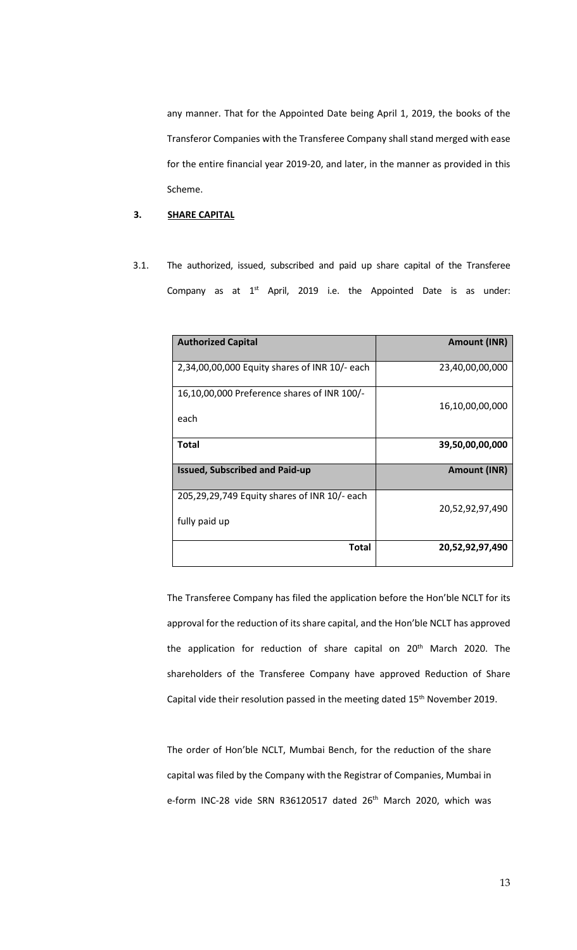any manner. That for the Appointed Date being April 1, 2019, the books of the Transferor Companies with the Transferee Company shall stand merged with ease for the entire financial year 2019-20, and later, in the manner as provided in this Scheme.

# **3. SHARE CAPITAL**

3.1. The authorized, issued, subscribed and paid up share capital of the Transferee Company as at  $1^{st}$  April, 2019 i.e. the Appointed Date is as under:

| <b>Authorized Capital</b>                                     | <b>Amount (INR)</b> |
|---------------------------------------------------------------|---------------------|
| 2,34,00,00,000 Equity shares of INR 10/- each                 | 23,40,00,00,000     |
| 16,10,00,000 Preference shares of INR 100/-<br>each           | 16,10,00,00,000     |
| <b>Total</b>                                                  | 39,50,00,00,000     |
| <b>Issued, Subscribed and Paid-up</b>                         | <b>Amount (INR)</b> |
| 205,29,29,749 Equity shares of INR 10/- each<br>fully paid up | 20,52,92,97,490     |
| Total                                                         | 20,52,92,97,490     |

The Transferee Company has filed the application before the Hon'ble NCLT for its approval for the reduction of its share capital, and the Hon'ble NCLT has approved the application for reduction of share capital on 20<sup>th</sup> March 2020. The shareholders of the Transferee Company have approved Reduction of Share Capital vide their resolution passed in the meeting dated 15<sup>th</sup> November 2019.

The order of Hon'ble NCLT, Mumbai Bench, for the reduction of the share capital was filed by the Company with the Registrar of Companies, Mumbai in e-form INC-28 vide SRN R36120517 dated 26<sup>th</sup> March 2020, which was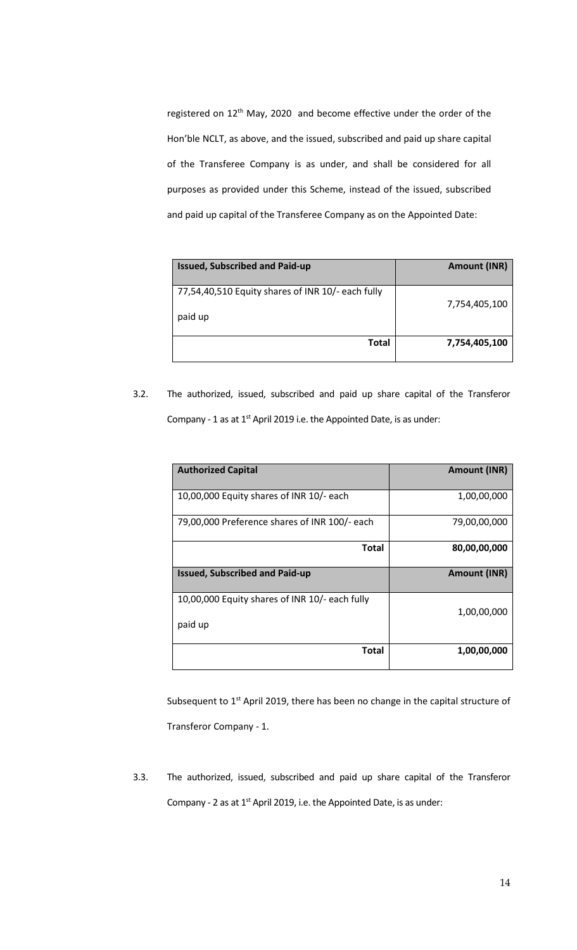registered on 12<sup>th</sup> May, 2020 and become effective under the order of the Hon'ble NCLT, as above, and the issued, subscribed and paid up share capital of the Transferee Company is as under, and shall be considered for all purposes as provided under this Scheme, instead of the issued, subscribed and paid up capital of the Transferee Company as on the Appointed Date:

| <b>Issued, Subscribed and Paid-up</b>                        | <b>Amount (INR)</b> |
|--------------------------------------------------------------|---------------------|
| 77,54,40,510 Equity shares of INR 10/- each fully<br>paid up | 7,754,405,100       |
| <b>Total</b>                                                 | 7,754,405,100       |

3.2. The authorized, issued, subscribed and paid up share capital of the Transferor Company - 1 as at  $1<sup>st</sup>$  April 2019 i.e. the Appointed Date, is as under:

| <b>Authorized Capital</b>                                 | <b>Amount (INR)</b> |
|-----------------------------------------------------------|---------------------|
| 10,00,000 Equity shares of INR 10/- each                  | 1,00,00,000         |
| 79,00,000 Preference shares of INR 100/- each             | 79,00,00,000        |
| Total                                                     | 80,00,00,000        |
| <b>Issued, Subscribed and Paid-up</b>                     | <b>Amount (INR)</b> |
| 10,00,000 Equity shares of INR 10/- each fully<br>paid up | 1,00,00,000         |
| Total                                                     | 1,00,00,000         |

Subsequent to 1<sup>st</sup> April 2019, there has been no change in the capital structure of Transferor Company - 1.

3.3. The authorized, issued, subscribed and paid up share capital of the Transferor Company - 2 as at  $1^{st}$  April 2019, i.e. the Appointed Date, is as under: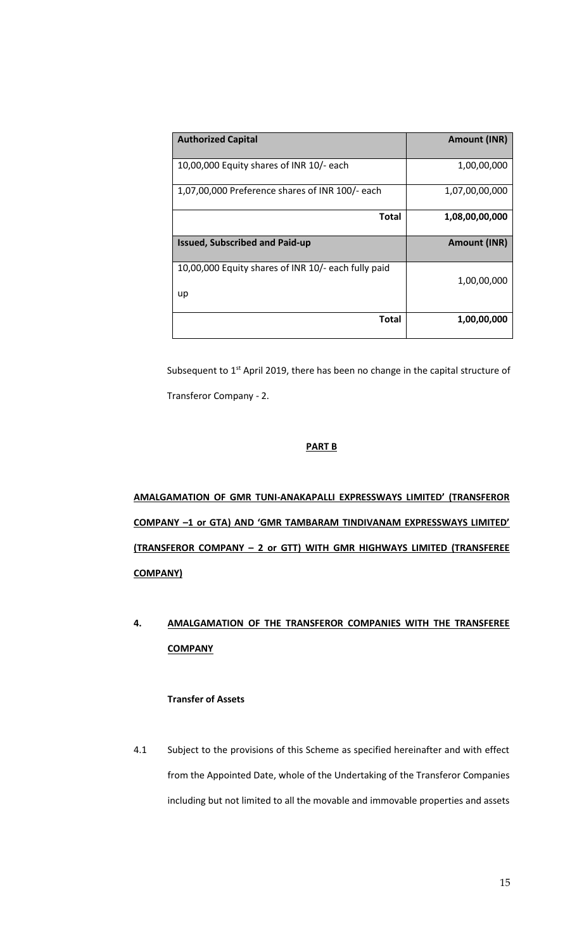| <b>Authorized Capital</b>                           | <b>Amount (INR)</b> |
|-----------------------------------------------------|---------------------|
|                                                     |                     |
| 10,00,000 Equity shares of INR 10/- each            | 1,00,00,000         |
| 1,07,00,000 Preference shares of INR 100/- each     | 1,07,00,00,000      |
|                                                     |                     |
| Total                                               | 1,08,00,00,000      |
| <b>Issued, Subscribed and Paid-up</b>               | <b>Amount (INR)</b> |
| 10,00,000 Equity shares of INR 10/- each fully paid |                     |
|                                                     | 1,00,00,000         |
| up                                                  |                     |
| Total                                               | 1,00,00,000         |

Subsequent to  $1<sup>st</sup>$  April 2019, there has been no change in the capital structure of Transferor Company - 2.

# **PART B**

**AMALGAMATION OF GMR TUNI-ANAKAPALLI EXPRESSWAYS LIMITED' (TRANSFEROR COMPANY –1 or GTA) AND 'GMR TAMBARAM TINDIVANAM EXPRESSWAYS LIMITED' (TRANSFEROR COMPANY – 2 or GTT) WITH GMR HIGHWAYS LIMITED (TRANSFEREE COMPANY)**

# **4. AMALGAMATION OF THE TRANSFEROR COMPANIES WITH THE TRANSFEREE COMPANY**

# **Transfer of Assets**

4.1 Subject to the provisions of this Scheme as specified hereinafter and with effect from the Appointed Date, whole of the Undertaking of the Transferor Companies including but not limited to all the movable and immovable properties and assets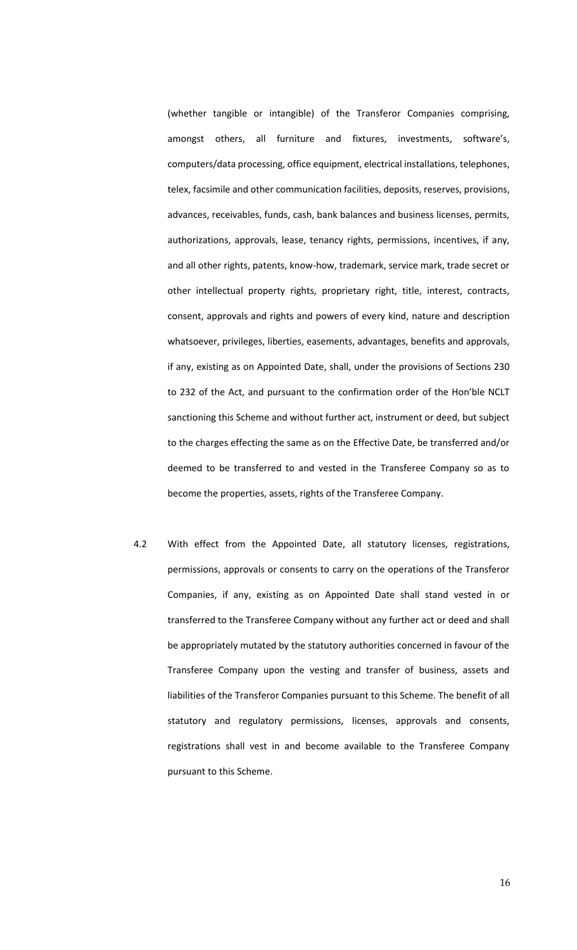(whether tangible or intangible) of the Transferor Companies comprising, amongst others, all furniture and fixtures, investments, software's, computers/data processing, office equipment, electrical installations, telephones, telex, facsimile and other communication facilities, deposits, reserves, provisions, advances, receivables, funds, cash, bank balances and business licenses, permits, authorizations, approvals, lease, tenancy rights, permissions, incentives, if any, and all other rights, patents, know-how, trademark, service mark, trade secret or other intellectual property rights, proprietary right, title, interest, contracts, consent, approvals and rights and powers of every kind, nature and description whatsoever, privileges, liberties, easements, advantages, benefits and approvals, if any, existing as on Appointed Date, shall, under the provisions of Sections 230 to 232 of the Act, and pursuant to the confirmation order of the Hon'ble NCLT sanctioning this Scheme and without further act, instrument or deed, but subject to the charges effecting the same as on the Effective Date, be transferred and/or deemed to be transferred to and vested in the Transferee Company so as to become the properties, assets, rights of the Transferee Company.

4.2 With effect from the Appointed Date, all statutory licenses, registrations, permissions, approvals or consents to carry on the operations of the Transferor Companies, if any, existing as on Appointed Date shall stand vested in or transferred to the Transferee Company without any further act or deed and shall be appropriately mutated by the statutory authorities concerned in favour of the Transferee Company upon the vesting and transfer of business, assets and liabilities of the Transferor Companies pursuant to this Scheme. The benefit of all statutory and regulatory permissions, licenses, approvals and consents, registrations shall vest in and become available to the Transferee Company pursuant to this Scheme.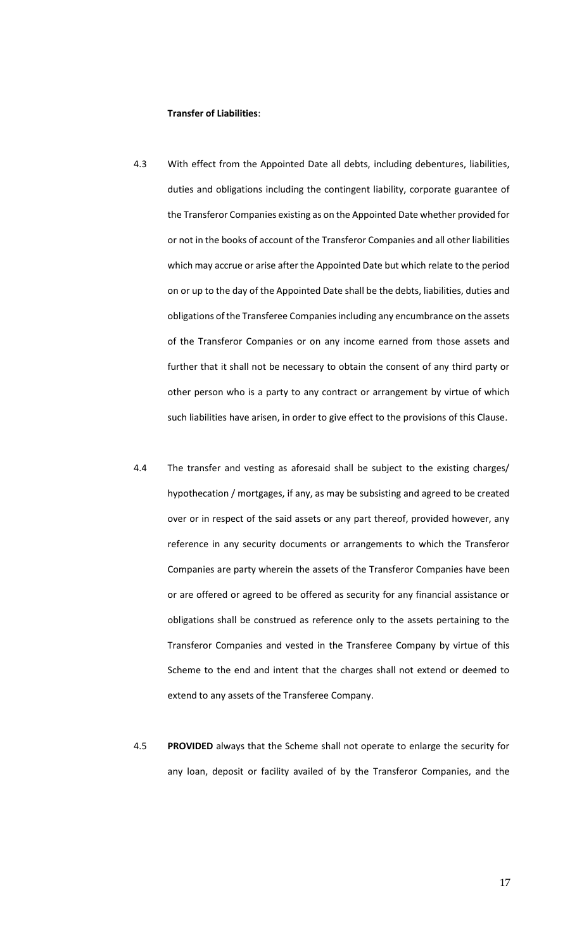#### **Transfer of Liabilities**:

- 4.3 With effect from the Appointed Date all debts, including debentures, liabilities, duties and obligations including the contingent liability, corporate guarantee of the Transferor Companies existing as on the Appointed Date whether provided for or not in the books of account of the Transferor Companies and all other liabilities which may accrue or arise after the Appointed Date but which relate to the period on or up to the day of the Appointed Date shall be the debts, liabilities, duties and obligations of the Transferee Companies including any encumbrance on the assets of the Transferor Companies or on any income earned from those assets and further that it shall not be necessary to obtain the consent of any third party or other person who is a party to any contract or arrangement by virtue of which such liabilities have arisen, in order to give effect to the provisions of this Clause.
- 4.4 The transfer and vesting as aforesaid shall be subject to the existing charges/ hypothecation / mortgages, if any, as may be subsisting and agreed to be created over or in respect of the said assets or any part thereof, provided however, any reference in any security documents or arrangements to which the Transferor Companies are party wherein the assets of the Transferor Companies have been or are offered or agreed to be offered as security for any financial assistance or obligations shall be construed as reference only to the assets pertaining to the Transferor Companies and vested in the Transferee Company by virtue of this Scheme to the end and intent that the charges shall not extend or deemed to extend to any assets of the Transferee Company.
- 4.5 **PROVIDED** always that the Scheme shall not operate to enlarge the security for any loan, deposit or facility availed of by the Transferor Companies, and the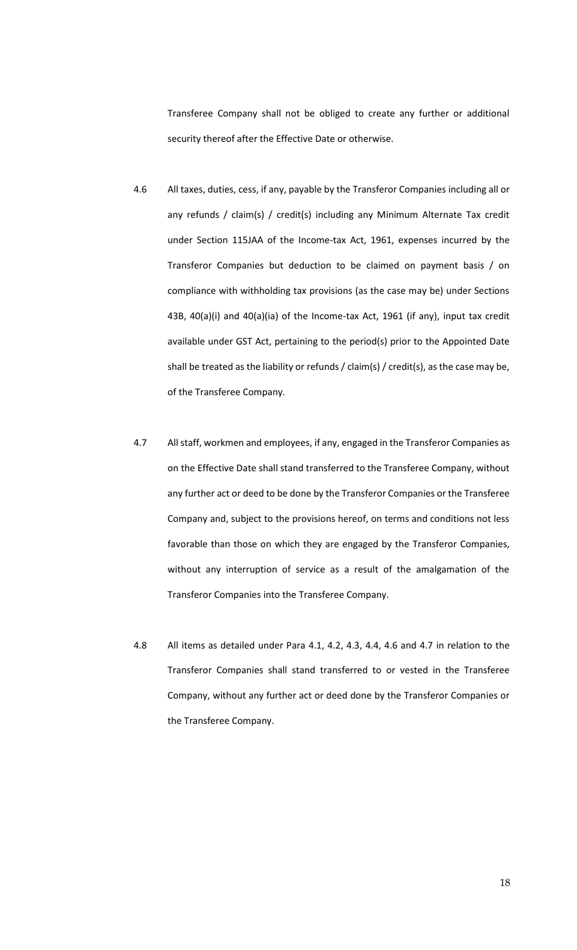Transferee Company shall not be obliged to create any further or additional security thereof after the Effective Date or otherwise.

- 4.6 All taxes, duties, cess, if any, payable by the Transferor Companies including all or any refunds / claim(s) / credit(s) including any Minimum Alternate Tax credit under Section 115JAA of the Income-tax Act, 1961, expenses incurred by the Transferor Companies but deduction to be claimed on payment basis / on compliance with withholding tax provisions (as the case may be) under Sections 43B, 40(a)(i) and 40(a)(ia) of the Income-tax Act, 1961 (if any), input tax credit available under GST Act, pertaining to the period(s) prior to the Appointed Date shall be treated as the liability or refunds / claim(s) / credit(s), as the case may be, of the Transferee Company.
- 4.7 All staff, workmen and employees, if any, engaged in the Transferor Companies as on the Effective Date shall stand transferred to the Transferee Company, without any further act or deed to be done by the Transferor Companies or the Transferee Company and, subject to the provisions hereof, on terms and conditions not less favorable than those on which they are engaged by the Transferor Companies, without any interruption of service as a result of the amalgamation of the Transferor Companies into the Transferee Company.
- 4.8 All items as detailed under Para 4.1, 4.2, 4.3, 4.4, 4.6 and 4.7 in relation to the Transferor Companies shall stand transferred to or vested in the Transferee Company, without any further act or deed done by the Transferor Companies or the Transferee Company.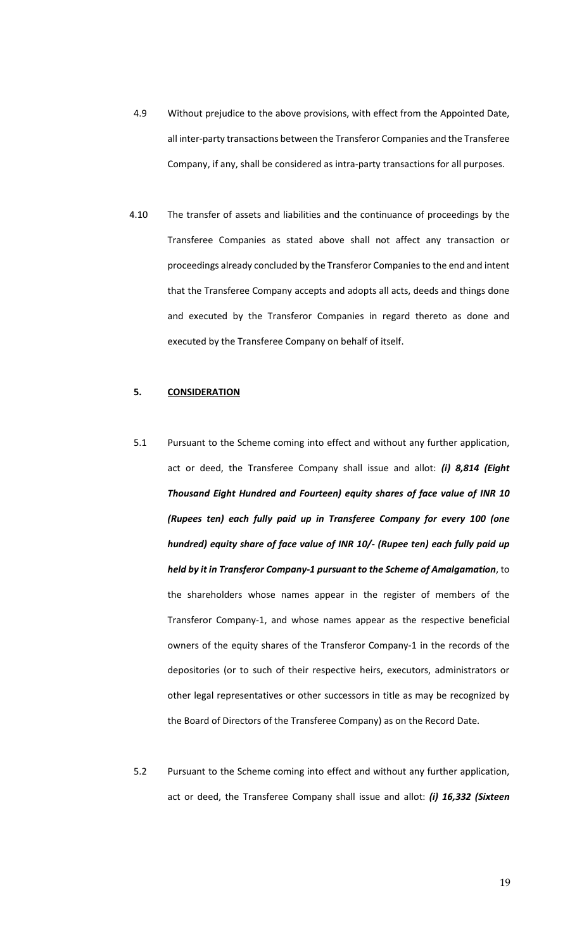- 4.9 Without prejudice to the above provisions, with effect from the Appointed Date, all inter-party transactions between the Transferor Companies and the Transferee Company, if any, shall be considered as intra-party transactions for all purposes.
- 4.10 The transfer of assets and liabilities and the continuance of proceedings by the Transferee Companies as stated above shall not affect any transaction or proceedings already concluded by the Transferor Companiesto the end and intent that the Transferee Company accepts and adopts all acts, deeds and things done and executed by the Transferor Companies in regard thereto as done and executed by the Transferee Company on behalf of itself.

#### **5. CONSIDERATION**

- 5.1 Pursuant to the Scheme coming into effect and without any further application, act or deed, the Transferee Company shall issue and allot: *(i) 8,814 (Eight Thousand Eight Hundred and Fourteen) equity shares of face value of INR 10 (Rupees ten) each fully paid up in Transferee Company for every 100 (one hundred) equity share of face value of INR 10/- (Rupee ten) each fully paid up held by it in Transferor Company-1 pursuant to the Scheme of Amalgamation*, to the shareholders whose names appear in the register of members of the Transferor Company-1, and whose names appear as the respective beneficial owners of the equity shares of the Transferor Company-1 in the records of the depositories (or to such of their respective heirs, executors, administrators or other legal representatives or other successors in title as may be recognized by the Board of Directors of the Transferee Company) as on the Record Date.
- 5.2 Pursuant to the Scheme coming into effect and without any further application, act or deed, the Transferee Company shall issue and allot: *(i) 16,332 (Sixteen*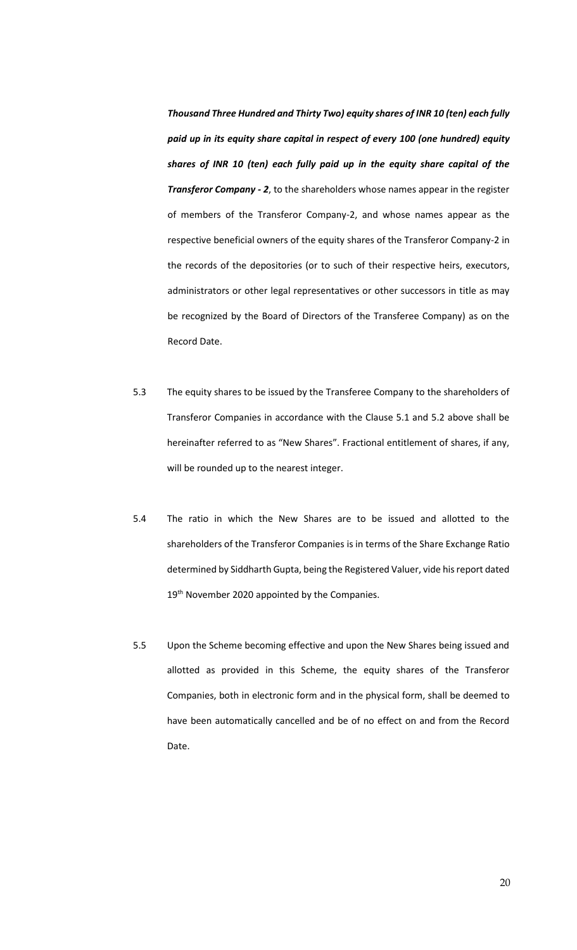*Thousand Three Hundred and Thirty Two) equity shares of INR 10 (ten) each fully paid up in its equity share capital in respect of every 100 (one hundred) equity shares of INR 10 (ten) each fully paid up in the equity share capital of the Transferor Company - 2*, to the shareholders whose names appear in the register of members of the Transferor Company-2, and whose names appear as the respective beneficial owners of the equity shares of the Transferor Company-2 in the records of the depositories (or to such of their respective heirs, executors, administrators or other legal representatives or other successors in title as may be recognized by the Board of Directors of the Transferee Company) as on the Record Date.

- 5.3 The equity shares to be issued by the Transferee Company to the shareholders of Transferor Companies in accordance with the Clause 5.1 and 5.2 above shall be hereinafter referred to as "New Shares". Fractional entitlement of shares, if any, will be rounded up to the nearest integer.
- 5.4 The ratio in which the New Shares are to be issued and allotted to the shareholders of the Transferor Companies is in terms of the Share Exchange Ratio determined by Siddharth Gupta, being the Registered Valuer, vide his report dated 19<sup>th</sup> November 2020 appointed by the Companies.
- 5.5 Upon the Scheme becoming effective and upon the New Shares being issued and allotted as provided in this Scheme, the equity shares of the Transferor Companies, both in electronic form and in the physical form, shall be deemed to have been automatically cancelled and be of no effect on and from the Record Date.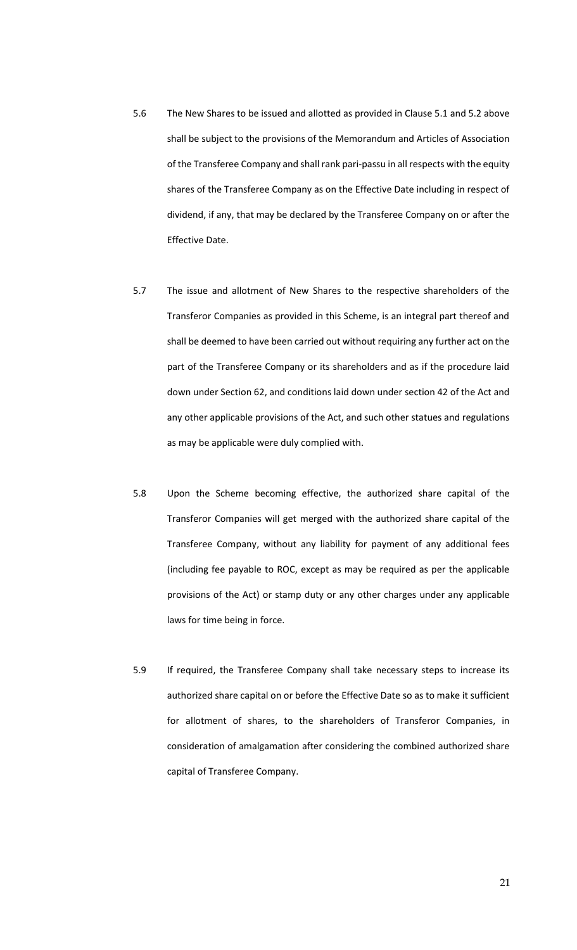- 5.6 The New Shares to be issued and allotted as provided in Clause 5.1 and 5.2 above shall be subject to the provisions of the Memorandum and Articles of Association of the Transferee Company and shall rank pari-passu in all respects with the equity shares of the Transferee Company as on the Effective Date including in respect of dividend, if any, that may be declared by the Transferee Company on or after the Effective Date.
- 5.7 The issue and allotment of New Shares to the respective shareholders of the Transferor Companies as provided in this Scheme, is an integral part thereof and shall be deemed to have been carried out without requiring any further act on the part of the Transferee Company or its shareholders and as if the procedure laid down under Section 62, and conditions laid down under section 42 of the Act and any other applicable provisions of the Act, and such other statues and regulations as may be applicable were duly complied with.
- 5.8 Upon the Scheme becoming effective, the authorized share capital of the Transferor Companies will get merged with the authorized share capital of the Transferee Company, without any liability for payment of any additional fees (including fee payable to ROC, except as may be required as per the applicable provisions of the Act) or stamp duty or any other charges under any applicable laws for time being in force.
- 5.9 If required, the Transferee Company shall take necessary steps to increase its authorized share capital on or before the Effective Date so as to make it sufficient for allotment of shares, to the shareholders of Transferor Companies, in consideration of amalgamation after considering the combined authorized share capital of Transferee Company.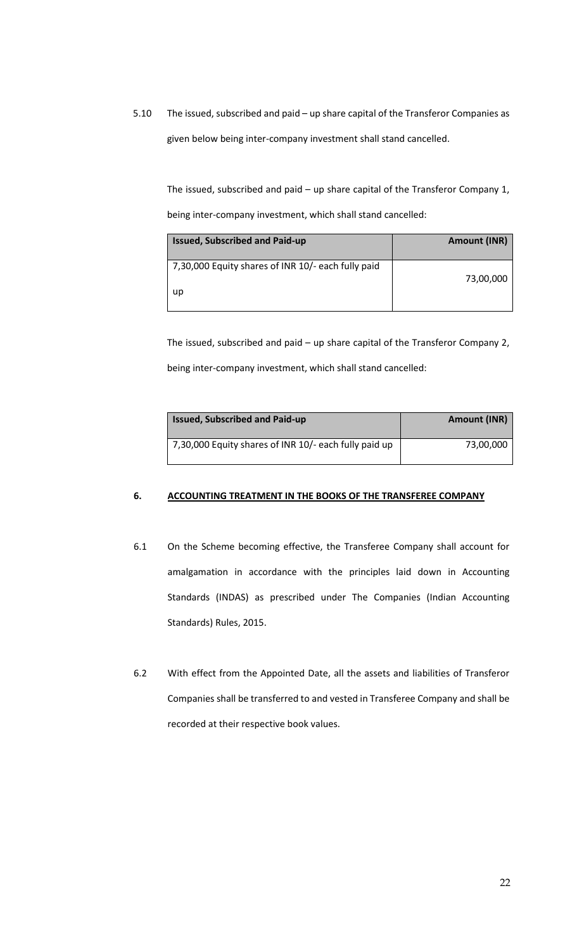5.10 The issued, subscribed and paid – up share capital of the Transferor Companies as given below being inter-company investment shall stand cancelled.

The issued, subscribed and paid – up share capital of the Transferor Company 1, being inter-company investment, which shall stand cancelled:

| <b>Issued, Subscribed and Paid-up</b>              | <b>Amount (INR)</b> |
|----------------------------------------------------|---------------------|
| 7,30,000 Equity shares of INR 10/- each fully paid | 73,00,000           |
| up                                                 |                     |

The issued, subscribed and paid – up share capital of the Transferor Company 2, being inter-company investment, which shall stand cancelled:

| <b>Issued, Subscribed and Paid-up</b>                 | <b>Amount (INR)</b> |
|-------------------------------------------------------|---------------------|
| 7,30,000 Equity shares of INR 10/- each fully paid up | 73,00,000           |

# **6. ACCOUNTING TREATMENT IN THE BOOKS OF THE TRANSFEREE COMPANY**

- 6.1 On the Scheme becoming effective, the Transferee Company shall account for amalgamation in accordance with the principles laid down in Accounting Standards (INDAS) as prescribed under The Companies (Indian Accounting Standards) Rules, 2015.
- 6.2 With effect from the Appointed Date, all the assets and liabilities of Transferor Companies shall be transferred to and vested in Transferee Company and shall be recorded at their respective book values.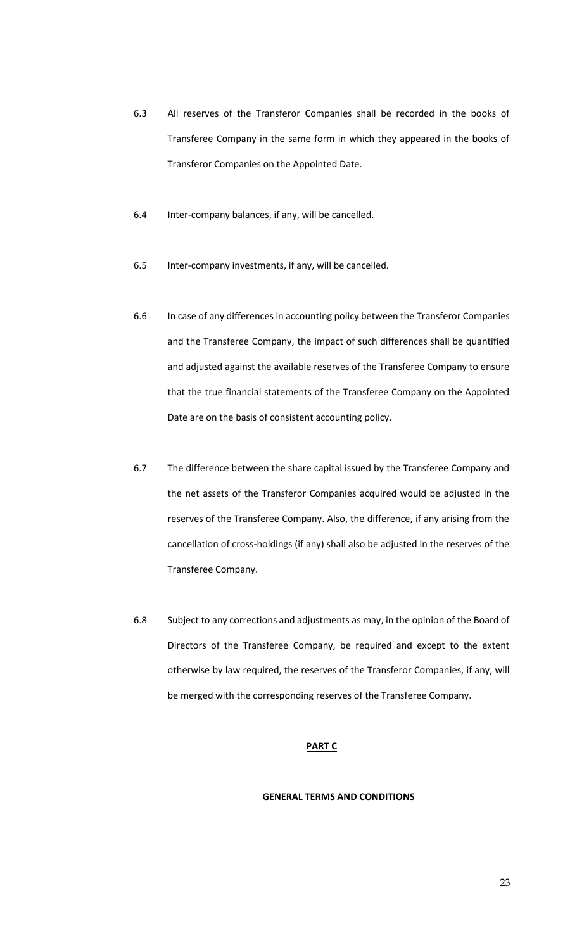- 6.3 All reserves of the Transferor Companies shall be recorded in the books of Transferee Company in the same form in which they appeared in the books of Transferor Companies on the Appointed Date.
- 6.4 Inter-company balances, if any, will be cancelled.
- 6.5 Inter-company investments, if any, will be cancelled.
- 6.6 In case of any differences in accounting policy between the Transferor Companies and the Transferee Company, the impact of such differences shall be quantified and adjusted against the available reserves of the Transferee Company to ensure that the true financial statements of the Transferee Company on the Appointed Date are on the basis of consistent accounting policy.
- 6.7 The difference between the share capital issued by the Transferee Company and the net assets of the Transferor Companies acquired would be adjusted in the reserves of the Transferee Company. Also, the difference, if any arising from the cancellation of cross-holdings (if any) shall also be adjusted in the reserves of the Transferee Company.
- 6.8 Subject to any corrections and adjustments as may, in the opinion of the Board of Directors of the Transferee Company, be required and except to the extent otherwise by law required, the reserves of the Transferor Companies, if any, will be merged with the corresponding reserves of the Transferee Company.

#### **PART C**

#### **GENERAL TERMS AND CONDITIONS**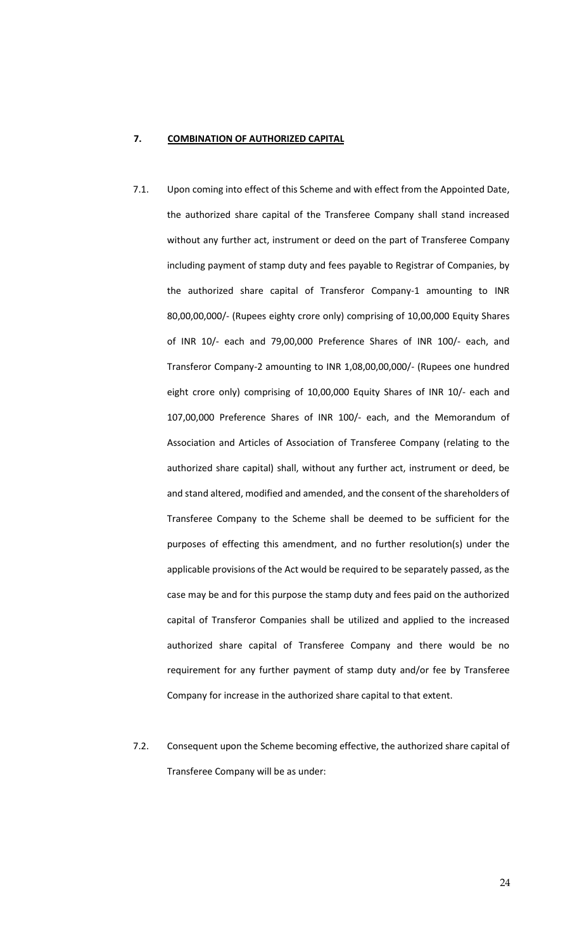# **7. COMBINATION OF AUTHORIZED CAPITAL**

- 7.1. Upon coming into effect of this Scheme and with effect from the Appointed Date, the authorized share capital of the Transferee Company shall stand increased without any further act, instrument or deed on the part of Transferee Company including payment of stamp duty and fees payable to Registrar of Companies, by the authorized share capital of Transferor Company-1 amounting to INR 80,00,00,000/- (Rupees eighty crore only) comprising of 10,00,000 Equity Shares of INR 10/- each and 79,00,000 Preference Shares of INR 100/- each, and Transferor Company-2 amounting to INR 1,08,00,00,000/- (Rupees one hundred eight crore only) comprising of 10,00,000 Equity Shares of INR 10/- each and 107,00,000 Preference Shares of INR 100/- each, and the Memorandum of Association and Articles of Association of Transferee Company (relating to the authorized share capital) shall, without any further act, instrument or deed, be and stand altered, modified and amended, and the consent of the shareholders of Transferee Company to the Scheme shall be deemed to be sufficient for the purposes of effecting this amendment, and no further resolution(s) under the applicable provisions of the Act would be required to be separately passed, as the case may be and for this purpose the stamp duty and fees paid on the authorized capital of Transferor Companies shall be utilized and applied to the increased authorized share capital of Transferee Company and there would be no requirement for any further payment of stamp duty and/or fee by Transferee Company for increase in the authorized share capital to that extent.
- 7.2. Consequent upon the Scheme becoming effective, the authorized share capital of Transferee Company will be as under: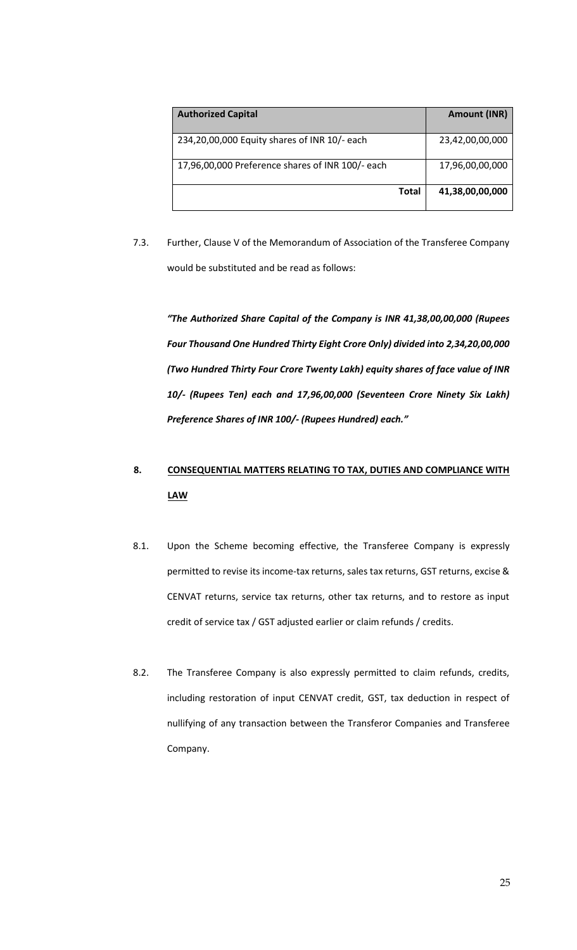| <b>Authorized Capital</b>                        | <b>Amount (INR)</b> |
|--------------------------------------------------|---------------------|
| 234,20,00,000 Equity shares of INR 10/- each     | 23,42,00,00,000     |
| 17,96,00,000 Preference shares of INR 100/- each | 17,96,00,00,000     |
| <b>Total</b>                                     | 41,38,00,00,000     |

7.3. Further, Clause V of the Memorandum of Association of the Transferee Company would be substituted and be read as follows:

*"The Authorized Share Capital of the Company is INR 41,38,00,00,000 (Rupees Four Thousand One Hundred Thirty Eight Crore Only) divided into 2,34,20,00,000 (Two Hundred Thirty Four Crore Twenty Lakh) equity shares of face value of INR 10/- (Rupees Ten) each and 17,96,00,000 (Seventeen Crore Ninety Six Lakh) Preference Shares of INR 100/- (Rupees Hundred) each."*

# **8. CONSEQUENTIAL MATTERS RELATING TO TAX, DUTIES AND COMPLIANCE WITH LAW**

- 8.1. Upon the Scheme becoming effective, the Transferee Company is expressly permitted to revise its income-tax returns, sales tax returns, GST returns, excise & CENVAT returns, service tax returns, other tax returns, and to restore as input credit of service tax / GST adjusted earlier or claim refunds / credits.
- 8.2. The Transferee Company is also expressly permitted to claim refunds, credits, including restoration of input CENVAT credit, GST, tax deduction in respect of nullifying of any transaction between the Transferor Companies and Transferee Company.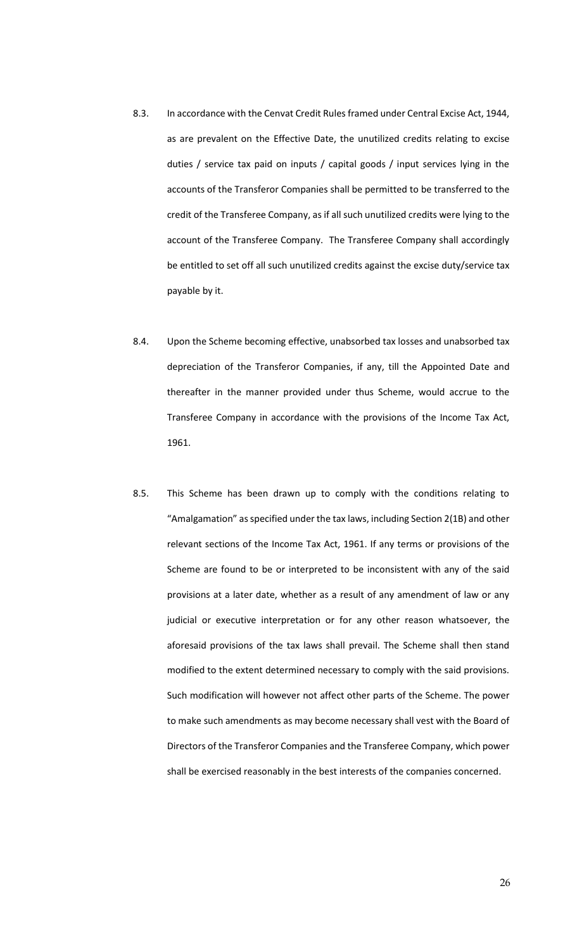- 8.3. In accordance with the Cenvat Credit Rules framed under Central Excise Act, 1944, as are prevalent on the Effective Date, the unutilized credits relating to excise duties / service tax paid on inputs / capital goods / input services lying in the accounts of the Transferor Companies shall be permitted to be transferred to the credit of the Transferee Company, as if all such unutilized credits were lying to the account of the Transferee Company. The Transferee Company shall accordingly be entitled to set off all such unutilized credits against the excise duty/service tax payable by it.
- 8.4. Upon the Scheme becoming effective, unabsorbed tax losses and unabsorbed tax depreciation of the Transferor Companies, if any, till the Appointed Date and thereafter in the manner provided under thus Scheme, would accrue to the Transferee Company in accordance with the provisions of the Income Tax Act, 1961.
- 8.5. This Scheme has been drawn up to comply with the conditions relating to "Amalgamation" as specified under the tax laws, including Section 2(1B) and other relevant sections of the Income Tax Act, 1961. If any terms or provisions of the Scheme are found to be or interpreted to be inconsistent with any of the said provisions at a later date, whether as a result of any amendment of law or any judicial or executive interpretation or for any other reason whatsoever, the aforesaid provisions of the tax laws shall prevail. The Scheme shall then stand modified to the extent determined necessary to comply with the said provisions. Such modification will however not affect other parts of the Scheme. The power to make such amendments as may become necessary shall vest with the Board of Directors of the Transferor Companies and the Transferee Company, which power shall be exercised reasonably in the best interests of the companies concerned.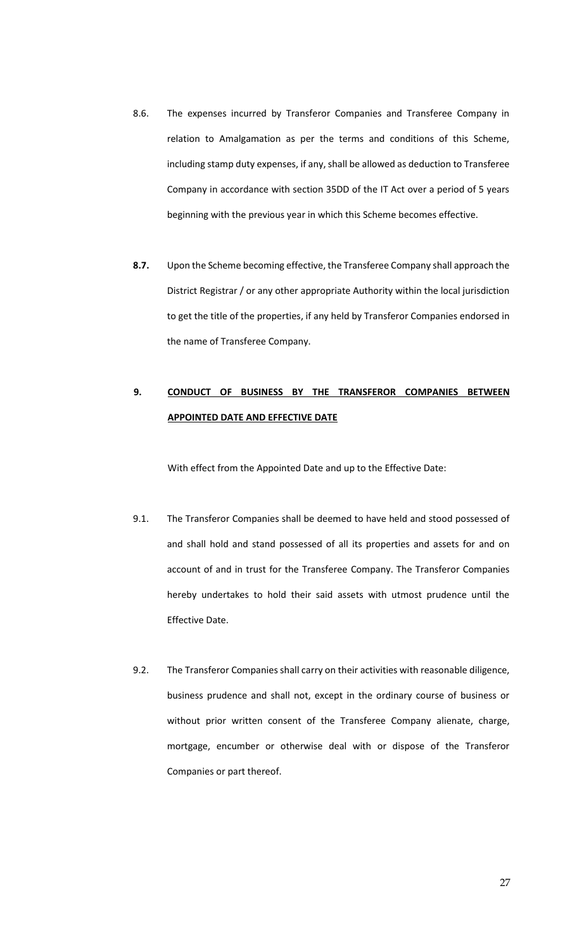- 8.6. The expenses incurred by Transferor Companies and Transferee Company in relation to Amalgamation as per the terms and conditions of this Scheme, including stamp duty expenses, if any, shall be allowed as deduction to Transferee Company in accordance with section 35DD of the IT Act over a period of 5 years beginning with the previous year in which this Scheme becomes effective.
- **8.7.** Upon the Scheme becoming effective, the Transferee Company shall approach the District Registrar / or any other appropriate Authority within the local jurisdiction to get the title of the properties, if any held by Transferor Companies endorsed in the name of Transferee Company.

# **9. CONDUCT OF BUSINESS BY THE TRANSFEROR COMPANIES BETWEEN APPOINTED DATE AND EFFECTIVE DATE**

With effect from the Appointed Date and up to the Effective Date:

- 9.1. The Transferor Companies shall be deemed to have held and stood possessed of and shall hold and stand possessed of all its properties and assets for and on account of and in trust for the Transferee Company. The Transferor Companies hereby undertakes to hold their said assets with utmost prudence until the Effective Date.
- 9.2. The Transferor Companies shall carry on their activities with reasonable diligence, business prudence and shall not, except in the ordinary course of business or without prior written consent of the Transferee Company alienate, charge, mortgage, encumber or otherwise deal with or dispose of the Transferor Companies or part thereof.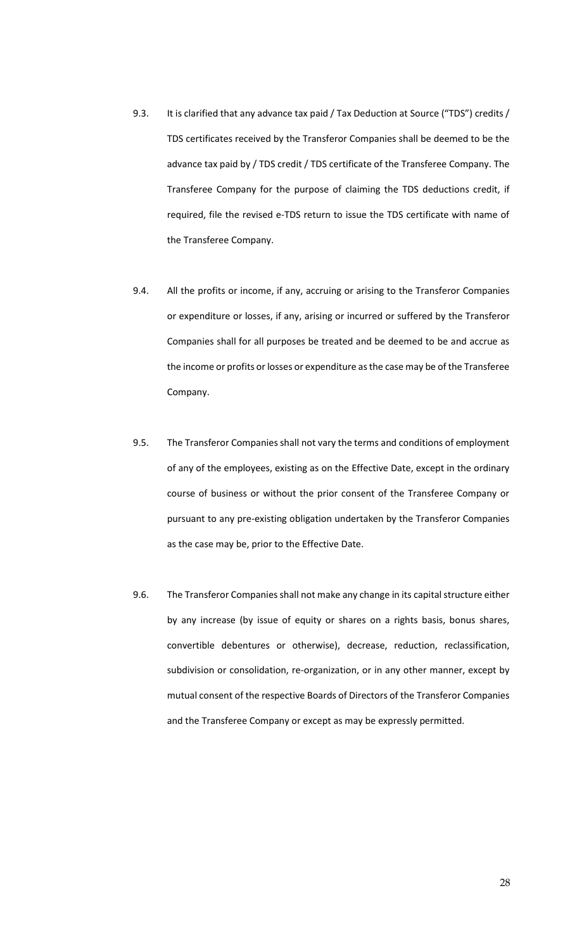- 9.3. It is clarified that any advance tax paid / Tax Deduction at Source ("TDS") credits / TDS certificates received by the Transferor Companies shall be deemed to be the advance tax paid by / TDS credit / TDS certificate of the Transferee Company. The Transferee Company for the purpose of claiming the TDS deductions credit, if required, file the revised e-TDS return to issue the TDS certificate with name of the Transferee Company.
- 9.4. All the profits or income, if any, accruing or arising to the Transferor Companies or expenditure or losses, if any, arising or incurred or suffered by the Transferor Companies shall for all purposes be treated and be deemed to be and accrue as the income or profits or losses or expenditure as the case may be of the Transferee Company.
- 9.5. The Transferor Companies shall not vary the terms and conditions of employment of any of the employees, existing as on the Effective Date, except in the ordinary course of business or without the prior consent of the Transferee Company or pursuant to any pre-existing obligation undertaken by the Transferor Companies as the case may be, prior to the Effective Date.
- 9.6. The Transferor Companies shall not make any change in its capital structure either by any increase (by issue of equity or shares on a rights basis, bonus shares, convertible debentures or otherwise), decrease, reduction, reclassification, subdivision or consolidation, re-organization, or in any other manner, except by mutual consent of the respective Boards of Directors of the Transferor Companies and the Transferee Company or except as may be expressly permitted.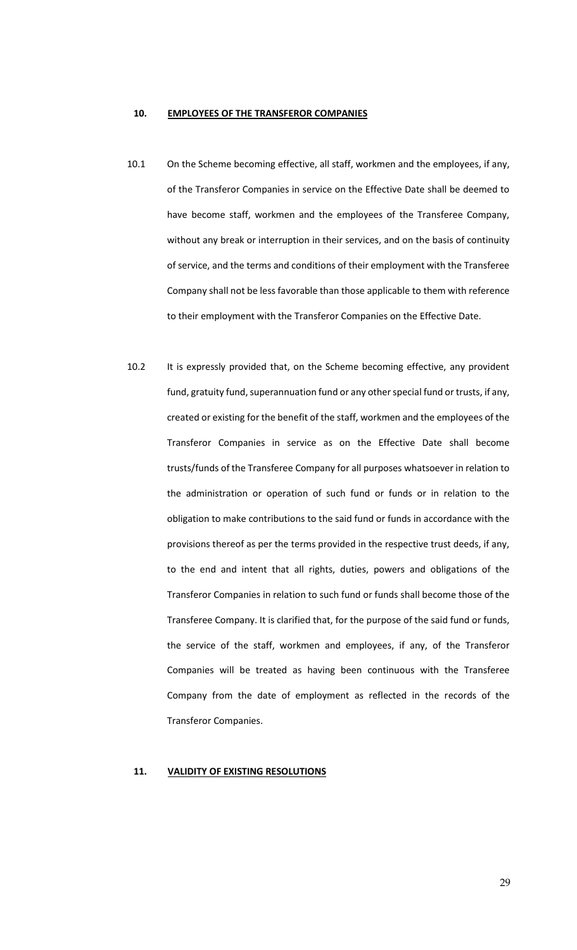#### **10. EMPLOYEES OF THE TRANSFEROR COMPANIES**

- 10.1 On the Scheme becoming effective, all staff, workmen and the employees, if any, of the Transferor Companies in service on the Effective Date shall be deemed to have become staff, workmen and the employees of the Transferee Company, without any break or interruption in their services, and on the basis of continuity of service, and the terms and conditions of their employment with the Transferee Company shall not be less favorable than those applicable to them with reference to their employment with the Transferor Companies on the Effective Date.
- 10.2 It is expressly provided that, on the Scheme becoming effective, any provident fund, gratuity fund, superannuation fund or any other special fund or trusts, if any, created or existing for the benefit of the staff, workmen and the employees of the Transferor Companies in service as on the Effective Date shall become trusts/funds of the Transferee Company for all purposes whatsoever in relation to the administration or operation of such fund or funds or in relation to the obligation to make contributions to the said fund or funds in accordance with the provisions thereof as per the terms provided in the respective trust deeds, if any, to the end and intent that all rights, duties, powers and obligations of the Transferor Companies in relation to such fund or funds shall become those of the Transferee Company. It is clarified that, for the purpose of the said fund or funds, the service of the staff, workmen and employees, if any, of the Transferor Companies will be treated as having been continuous with the Transferee Company from the date of employment as reflected in the records of the Transferor Companies.

## **11. VALIDITY OF EXISTING RESOLUTIONS**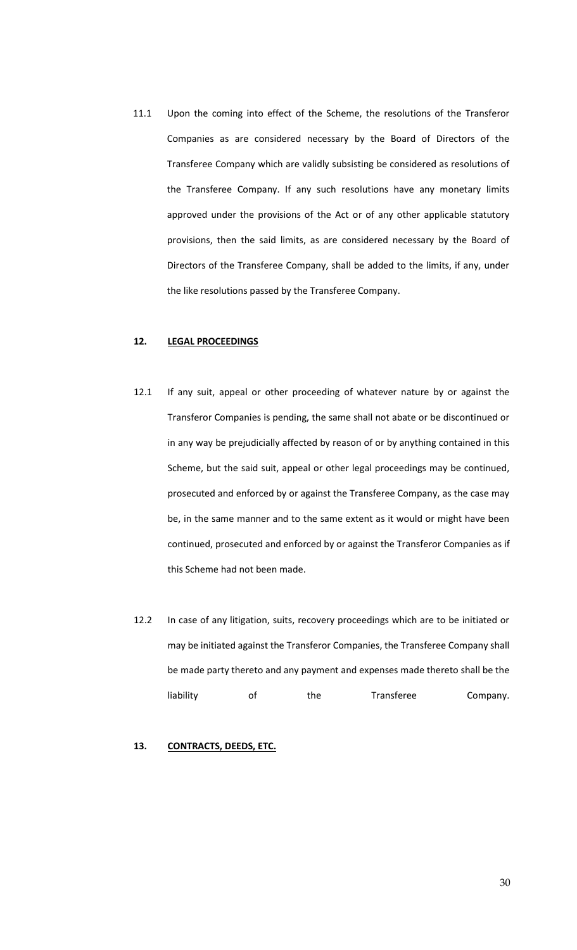11.1 Upon the coming into effect of the Scheme, the resolutions of the Transferor Companies as are considered necessary by the Board of Directors of the Transferee Company which are validly subsisting be considered as resolutions of the Transferee Company. If any such resolutions have any monetary limits approved under the provisions of the Act or of any other applicable statutory provisions, then the said limits, as are considered necessary by the Board of Directors of the Transferee Company, shall be added to the limits, if any, under the like resolutions passed by the Transferee Company.

### **12. LEGAL PROCEEDINGS**

- 12.1 If any suit, appeal or other proceeding of whatever nature by or against the Transferor Companies is pending, the same shall not abate or be discontinued or in any way be prejudicially affected by reason of or by anything contained in this Scheme, but the said suit, appeal or other legal proceedings may be continued, prosecuted and enforced by or against the Transferee Company, as the case may be, in the same manner and to the same extent as it would or might have been continued, prosecuted and enforced by or against the Transferor Companies as if this Scheme had not been made.
- 12.2 In case of any litigation, suits, recovery proceedings which are to be initiated or may be initiated against the Transferor Companies, the Transferee Company shall be made party thereto and any payment and expenses made thereto shall be the liability of the Transferee Company.

#### **13. CONTRACTS, DEEDS, ETC.**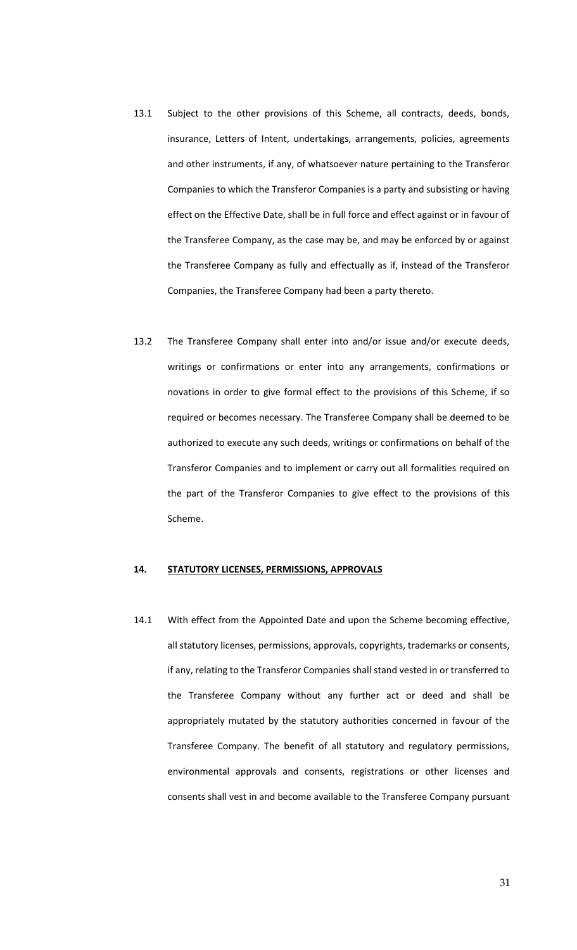- 13.1 Subject to the other provisions of this Scheme, all contracts, deeds, bonds, insurance, Letters of Intent, undertakings, arrangements, policies, agreements and other instruments, if any, of whatsoever nature pertaining to the Transferor Companies to which the Transferor Companies is a party and subsisting or having effect on the Effective Date, shall be in full force and effect against or in favour of the Transferee Company, as the case may be, and may be enforced by or against the Transferee Company as fully and effectually as if, instead of the Transferor Companies, the Transferee Company had been a party thereto.
- 13.2 The Transferee Company shall enter into and/or issue and/or execute deeds, writings or confirmations or enter into any arrangements, confirmations or novations in order to give formal effect to the provisions of this Scheme, if so required or becomes necessary. The Transferee Company shall be deemed to be authorized to execute any such deeds, writings or confirmations on behalf of the Transferor Companies and to implement or carry out all formalities required on the part of the Transferor Companies to give effect to the provisions of this Scheme.

# **14. STATUTORY LICENSES, PERMISSIONS, APPROVALS**

14.1 With effect from the Appointed Date and upon the Scheme becoming effective, all statutory licenses, permissions, approvals, copyrights, trademarks or consents, if any, relating to the Transferor Companies shall stand vested in or transferred to the Transferee Company without any further act or deed and shall be appropriately mutated by the statutory authorities concerned in favour of the Transferee Company. The benefit of all statutory and regulatory permissions, environmental approvals and consents, registrations or other licenses and consents shall vest in and become available to the Transferee Company pursuant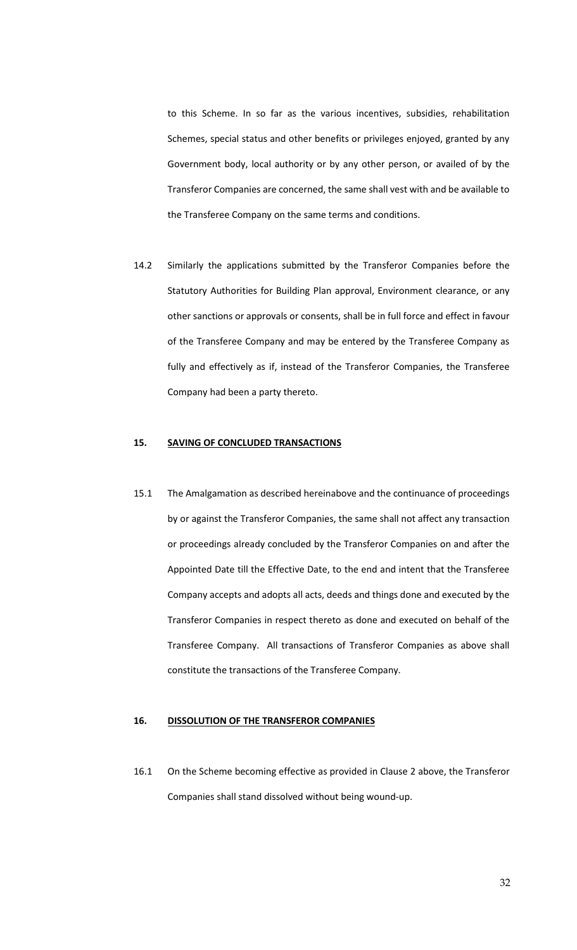to this Scheme. In so far as the various incentives, subsidies, rehabilitation Schemes, special status and other benefits or privileges enjoyed, granted by any Government body, local authority or by any other person, or availed of by the Transferor Companies are concerned, the same shall vest with and be available to the Transferee Company on the same terms and conditions.

14.2 Similarly the applications submitted by the Transferor Companies before the Statutory Authorities for Building Plan approval, Environment clearance, or any other sanctions or approvals or consents, shall be in full force and effect in favour of the Transferee Company and may be entered by the Transferee Company as fully and effectively as if, instead of the Transferor Companies, the Transferee Company had been a party thereto.

# **15. SAVING OF CONCLUDED TRANSACTIONS**

15.1 The Amalgamation as described hereinabove and the continuance of proceedings by or against the Transferor Companies, the same shall not affect any transaction or proceedings already concluded by the Transferor Companies on and after the Appointed Date till the Effective Date, to the end and intent that the Transferee Company accepts and adopts all acts, deeds and things done and executed by the Transferor Companies in respect thereto as done and executed on behalf of the Transferee Company. All transactions of Transferor Companies as above shall constitute the transactions of the Transferee Company.

# **16. DISSOLUTION OF THE TRANSFEROR COMPANIES**

16.1 On the Scheme becoming effective as provided in Clause 2 above, the Transferor Companies shall stand dissolved without being wound-up.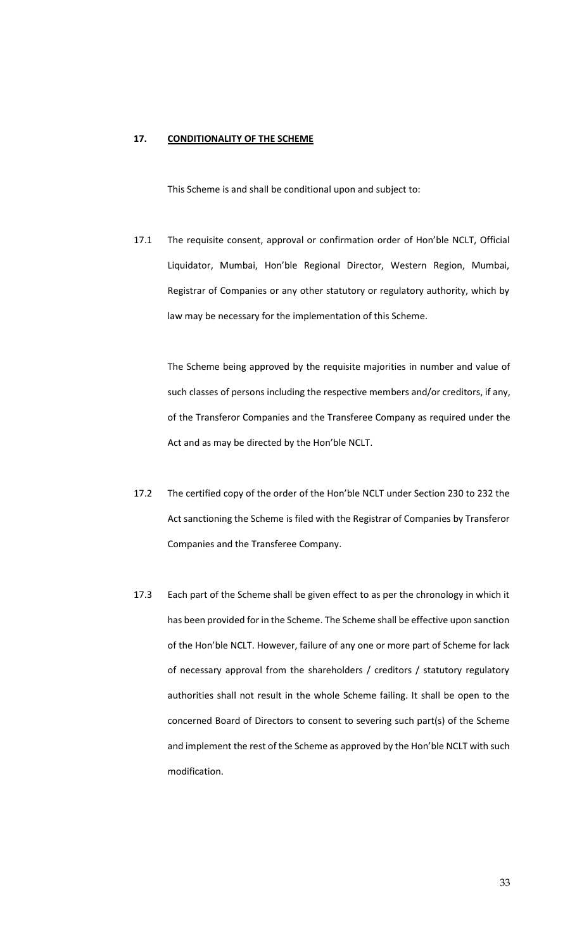# **17. CONDITIONALITY OF THE SCHEME**

This Scheme is and shall be conditional upon and subject to:

17.1 The requisite consent, approval or confirmation order of Hon'ble NCLT, Official Liquidator, Mumbai, Hon'ble Regional Director, Western Region, Mumbai, Registrar of Companies or any other statutory or regulatory authority, which by law may be necessary for the implementation of this Scheme.

The Scheme being approved by the requisite majorities in number and value of such classes of persons including the respective members and/or creditors, if any, of the Transferor Companies and the Transferee Company as required under the Act and as may be directed by the Hon'ble NCLT.

- 17.2 The certified copy of the order of the Hon'ble NCLT under Section 230 to 232 the Act sanctioning the Scheme is filed with the Registrar of Companies by Transferor Companies and the Transferee Company.
- 17.3 Each part of the Scheme shall be given effect to as per the chronology in which it has been provided for in the Scheme. The Scheme shall be effective upon sanction of the Hon'ble NCLT. However, failure of any one or more part of Scheme for lack of necessary approval from the shareholders / creditors / statutory regulatory authorities shall not result in the whole Scheme failing. It shall be open to the concerned Board of Directors to consent to severing such part(s) of the Scheme and implement the rest of the Scheme as approved by the Hon'ble NCLT with such modification.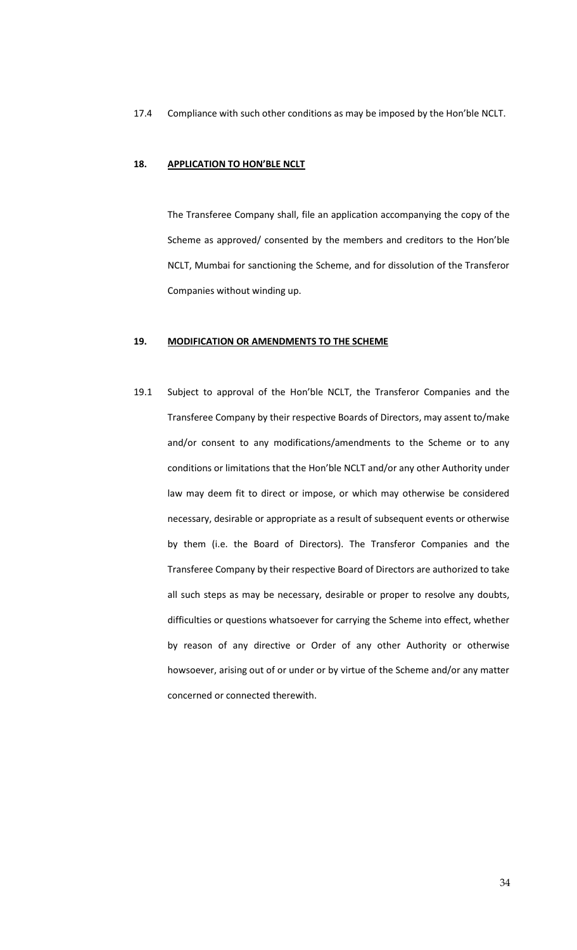17.4 Compliance with such other conditions as may be imposed by the Hon'ble NCLT.

#### **18. APPLICATION TO HON'BLE NCLT**

The Transferee Company shall, file an application accompanying the copy of the Scheme as approved/ consented by the members and creditors to the Hon'ble NCLT, Mumbai for sanctioning the Scheme, and for dissolution of the Transferor Companies without winding up.

#### **19. MODIFICATION OR AMENDMENTS TO THE SCHEME**

19.1 Subject to approval of the Hon'ble NCLT, the Transferor Companies and the Transferee Company by their respective Boards of Directors, may assent to/make and/or consent to any modifications/amendments to the Scheme or to any conditions or limitations that the Hon'ble NCLT and/or any other Authority under law may deem fit to direct or impose, or which may otherwise be considered necessary, desirable or appropriate as a result of subsequent events or otherwise by them (i.e. the Board of Directors). The Transferor Companies and the Transferee Company by their respective Board of Directors are authorized to take all such steps as may be necessary, desirable or proper to resolve any doubts, difficulties or questions whatsoever for carrying the Scheme into effect, whether by reason of any directive or Order of any other Authority or otherwise howsoever, arising out of or under or by virtue of the Scheme and/or any matter concerned or connected therewith.